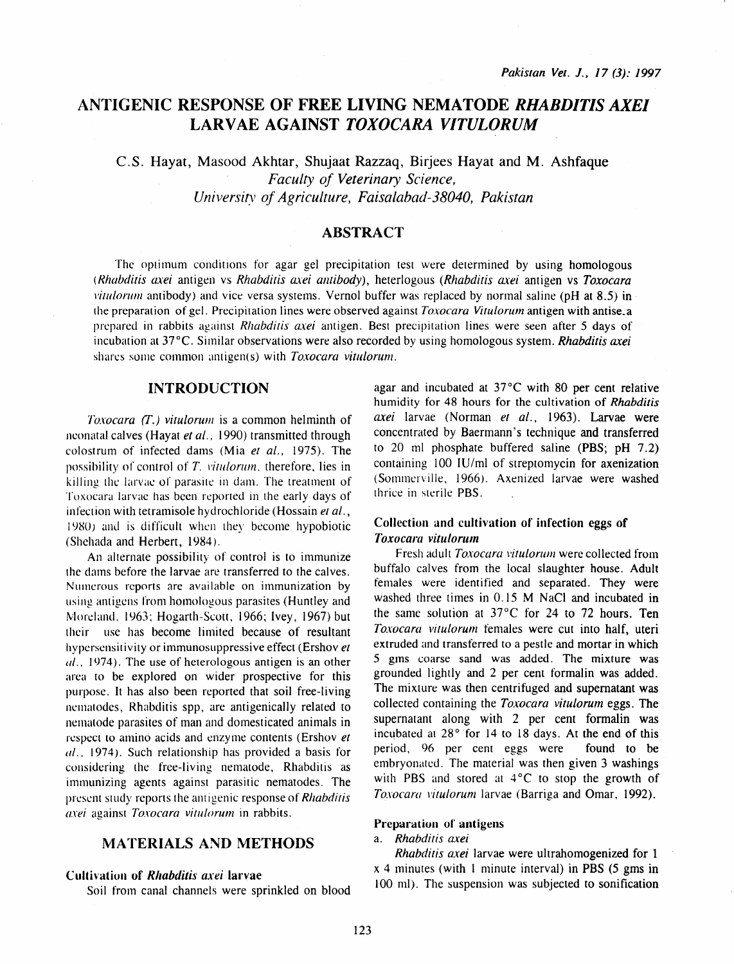# ANTIGENIC RESPONSE OF FREE LIVING NEMATODE *RHABDITIS AXEl*  LARVAE AGAINST *TOXOCARA VITULORUM*

C.S. Hayat, Masood Akhtar, Shujaat Razzaq, Birjees Hayat and M. Ashfaque *Faculty of Veterinary Science, University of Agriculture, Faisalabad-38040, Pakistan* 

# ABSTRACT

The optimum conditions for agar gel precipitation test were determined by using homologous *(Rhabditis axei* antigen vs *Rhabditis axei amibody),* heterlogous *(Rhabditis axei* antigen vs *Toxocara litulorum* antibody) and vice versa systems. Vernol buffer was replaced by normal saline (pH at 8.5) in the preparation of gel. Precipitation lines were observed against *Toxocara Vitulorum* antigen with antise\_a prepared in rabbits against *Rhabdi1is a.xei* antigen. Best precipitation lines were seen after 5 days of incubation at 37°C. Similar observations were also recorded by using homologous system. *Rhabditis axei*  shares some common antigen(s) with *Toxocara vitulorum.* 

# INTRODUCTION

*Toxocara* (T.) *vitulorum* is a common helminth of neonatal calves (Hayat *et al.*, 1990) transmitted through colostrum of infected dams (Mia *et al.,* 1975). The possibility of control of T. *vitulorum*, therefore, lies in killing the larvae of parasite in dam. The treatmenr of Toxocara larvae has been reponed in the early days of infection with tetramisole hydrochloride (Hossain et al.,  $1980$ ) and is difficult when they become hypobiotic (Shehada and Herbert, 1984 ).

An alternate possibility of control is to immunize the dams before the larvae are transferred to the calves. Numerous reports are available on immunization by using antigens from homologous parasites (Huntley and Moreland, 1963; Hogarth-Scott, 1966; Ivey, 1967) but their use has become limited because of resultant hypersensitivity or immunosuppressive effect (Ershov *et a/ ..* 1974). The use of heterologous antigen is an other area to be explored on wider prospective for this purpose. It has also been reported that soil free-living nematodes, Rhabditis spp, are antigenically related to nemalode parasites of man and domesticated animals in respect to amino acids and enzyme contents (Ershov *et a/ ..* 1974). Such relationship has provided a basis for considering the free-living nematode, Rhabditis as immunizing agents against parasitic nematodes. The present study reports the antigenic response of *Rhabditis axei* against *Toxocara vilULorum* in rabbits.

# MATERIALS AND METHODS

#### Cultivation of *Rhabditis axei* larvae

Soil from canal channels were sprinkled on blood

agar and incubated at 37°C with 80 per cent relative humidity for 48 hours for the cultivation of *Rhabditis axei* larvae (Norman *et al.,* 1963). Larvae were concentrated by Baermann's technique and transferred to 20 ml phosphate buffered saline (PBS;  $pH$  7.2) containing 100 IU/ml of streptomycin for axenization (Sommerville, 1966). Axenized larvae were washed thrice in sterile PBS.

# Collection and cultivation of infection eggs of *Toxocara vitulonun*

Fresh adult *Toxocara vitulorum* were collected from buffalo calves from the local slaughter house. Adult females were identified and separated. They were washed three times in 0.15 M NaCl and incubated in the same solution at  $37^{\circ}$ C for 24 to 72 hours. Ten *Toxocara vitulorum* females were cut into half, uteri extruded and transferred to a pestle and mortar in which 5 gms coarse sand was added. The mixture was grounded lightly and 2 per cent formalin was added. The mixture was then centrifuged and supernatant was collected containing the *Toxocara vitulorum* eggs. The supernatant along with 2 per cent formalin was incubated at 28° for 14 to 18 days. At the end of this period, 96 per cent eggs were found to be embryonated. The material was then given 3 washings with PBS and stored at  $4^{\circ}$ C to stop the growth of *Toxocara vilulorum* larvae (Barriga and Omar, 1992).

#### Preparation of antigens

# a. *Rhabdilis axei*

*Rhabditis axei* larvae were ultrahomogenized for 1  $x$  4 minutes (with 1 minute interval) in PBS (5 gms in 100 ml). The suspension was subjected to sonification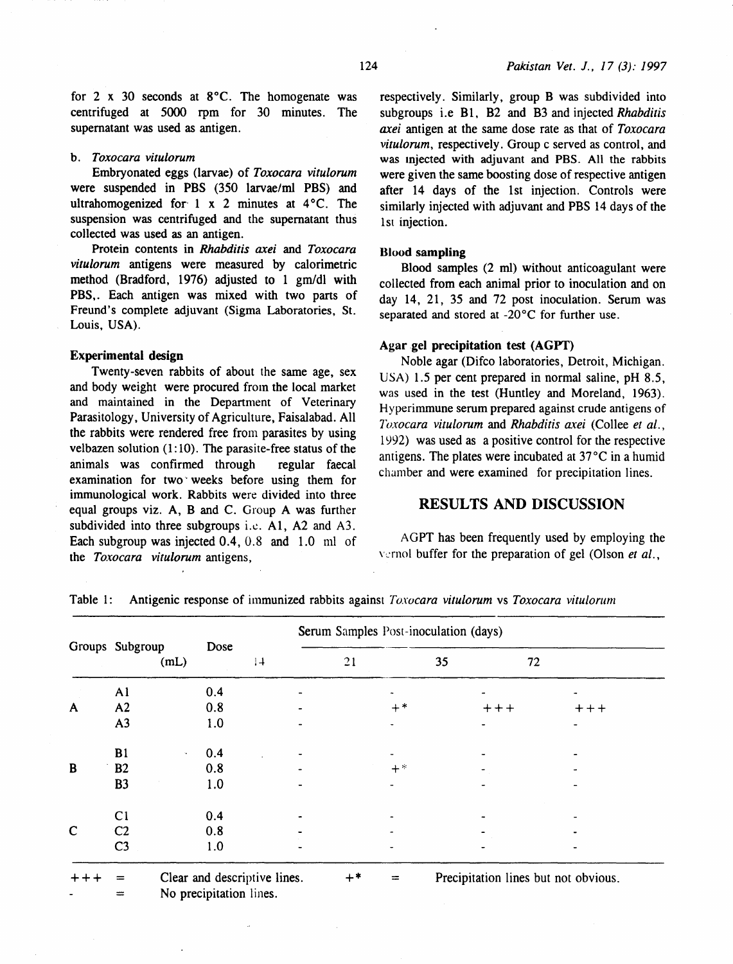for 2 x 30 seconds at 8°C. The homogenate was centrifuged at 5000 rpm for 30 minutes. The supernatant was used as antigen.

#### b. *Toxocara vitulorum*

Embryonated eggs (larvae) of *Toxocara vitulorum*  were suspended in PBS (350 larvae/ml PBS) and ultrahomogenized for 1 x 2 minutes at  $4^{\circ}$ C. The suspension was centrifuged and the supernatant thus collected was used as an antigen.

Protein contents in *Rhabditis axei* and *Toxocara vitulorum* antigens were measured by calorimetric method (Bradford, 1976) adjusted to 1 gm/dl with PBS,. Each antigen was mixed with two parts of Freund's complete adjuvant (Sigma Laboratories, St. Louis, USA).

#### Experimental design

Twenty-seven rabbits of about the same age, sex and body weight were procured from the local market and maintained in the Department of Veterinary Parasitology, University of Agriculture, Faisalabad. All the rabbits were rendered free from parasites by using velbazen solution  $(1:10)$ . The parasite-free status of the animals was confirmed through regular faecal examination for two weeks before using them for immunological work. Rabbits were divided into three equal groups viz. A, B and C. Group A was further subdivided into three subgroups i.e.  $A1$ ,  $A2$  and  $A3$ . Each subgroup was injected 0.4, 0.8 and 1.0 ml of the *Toxocara vitulorum* antigens,

respectively. Similarly, group B was subdivided into subgroups i.e Bl, B2 and B3 and injected *Rhabditis axei* antigen at the same dose rate as that of *Toxocara vitulorum,* respectively. Group c served as control, and was mjected with adjuvant and PBS. All the rabbits were given the same boosting dose of respective antigen after 14 days of the 1st injection. Controls were similarly injected with adjuvant and PBS 14 days of the 1st injection.

#### Blood sampling

Blood samples (2 ml) without anticoagulant were collected from each animal prior to inoculation and on day 14, 21, 35 and 72 post inoculation. Serum was separated and stored at  $-20^{\circ}$ C for further use.

#### Agar gel precipitation test (AGYf)

Noble agar (Difco laboratories, Detroit, Michigan. USA) 1.5 per cent prepared in normal saline, pH 8.5, was used in the test (Huntley and Moreland, 1963). Hyperimmune serum prepared against crude antigens of *Toxocara vitulorum and Rhabditis axei* (Collee et al., 1992) was used as a positive control for the respective antigens. The plates were incubated at 37°C in a humid chamber and were examined for precipitation lines.

# RESULTS AND DISCUSSION

AGPT has been frequently used by employing the vernol buffer for the preparation of gel (Olson *et al.*,

|             |                 |                                                         | Serum Samples Post-inoculation (days) |             |        |                                      |  |  |  |
|-------------|-----------------|---------------------------------------------------------|---------------------------------------|-------------|--------|--------------------------------------|--|--|--|
|             | Groups Subgroup | Dose<br>(mL)                                            | 1                                     | 21          | 35     | 72                                   |  |  |  |
|             | A <sub>1</sub>  | 0.4                                                     |                                       |             |        |                                      |  |  |  |
| A           | A <sub>2</sub>  | 0.8                                                     |                                       | $+$ *       | $++++$ | $++++$                               |  |  |  |
|             | A <sub>3</sub>  | 1.0                                                     |                                       |             |        |                                      |  |  |  |
|             | B1              | 0.4<br>$\mathcal{L}_{\mathbf{a}}$                       |                                       |             |        |                                      |  |  |  |
| B           | B <sub>2</sub>  | 0.8                                                     |                                       | $+$ *       |        |                                      |  |  |  |
|             | <b>B3</b>       | 1.0                                                     |                                       |             |        |                                      |  |  |  |
|             | C <sub>1</sub>  | 0.4                                                     |                                       |             |        |                                      |  |  |  |
| $\mathbf C$ | C <sub>2</sub>  | 0.8                                                     |                                       |             |        |                                      |  |  |  |
|             | C <sub>3</sub>  | 1.0                                                     |                                       |             |        |                                      |  |  |  |
| $++$        | $=$<br>$=$      | Clear and descriptive lines.<br>No precipitation lines. |                                       | $+*$<br>$=$ |        | Precipitation lines but not obvious. |  |  |  |

Table 1: Antigenic response of immunized rabbits against *Toxocara vitulorum* vs *Toxocara vitulorum*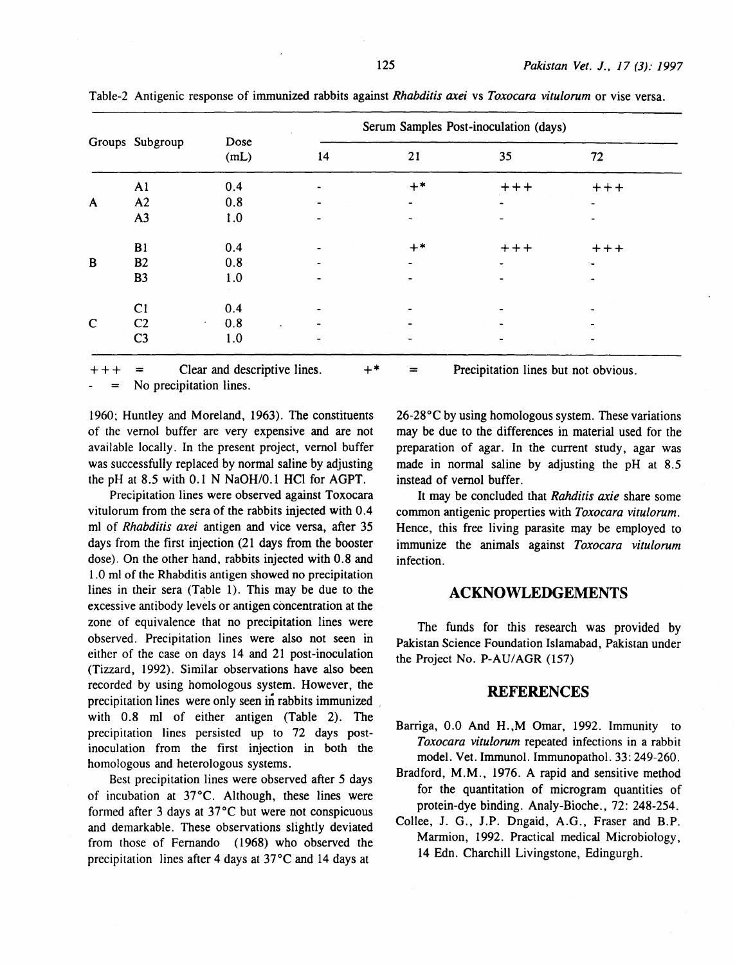|              | Groups Subgroup | Dose<br>(mL)            | Serum Samples Post-inoculation (days) |      |        |                |  |  |
|--------------|-----------------|-------------------------|---------------------------------------|------|--------|----------------|--|--|
|              |                 |                         | 14                                    | 21   | 35     | 72             |  |  |
|              | A <sub>1</sub>  | 0.4                     |                                       | $+*$ | $++++$ | $+++$          |  |  |
| $\mathsf{A}$ | A2              | 0.8                     |                                       |      |        | $\sim 10^{-1}$ |  |  |
|              | A3              | 1.0                     |                                       |      |        |                |  |  |
|              | B1              | 0.4                     |                                       | $+*$ | $+++$  | $++++$         |  |  |
| $\, {\bf B}$ | <b>B2</b>       | 0.8                     |                                       |      |        |                |  |  |
|              | <b>B3</b>       | 1.0                     |                                       |      |        |                |  |  |
|              | C <sub>1</sub>  | 0.4                     |                                       |      |        |                |  |  |
| $\mathbf C$  | C <sub>2</sub>  | 0.8<br>$\sim$<br>$\sim$ |                                       |      |        |                |  |  |
|              | C <sub>3</sub>  | 1.0                     |                                       |      |        |                |  |  |

Table-2 Antigenic response of immunized rabbits against *Rhabditis axei* vs *Toxocara vitulorum* or vise versa.

Clear and descriptive lines. +\* = Precipitation lines but not obvious.

No precipitation lines.

1960; Huntley and Moreland, 1963). The constituents of the vernol buffer are very expensive and are not available locally. In the present project, vernol buffer was successfully replaced by normal saline by adjusting the pH at 8.5 with 0.1 N NaOH/0.1 HCl for AGPT.

Precipitation lines were observed against Toxocara vitulorum from the sera of the rabbits injected with 0.4 ml of *Rhabditis axei* antigen and vice versa, after 35 days from the first injection (21 days from the booster dose). On the other hand, rabbits injected with 0.8 and 1.0 ml of the Rhabditis antigen showed no precipitation lines in their sera  $(Table 1)$ . This may be due to the excessive antibody levels or antigen concentration at the zone of equivalence that no precipitation lines were observed. Precipitation lines were also not seen in either of the case on days 14 and 21 post-inoculation (Tizzard, 1992). Similar observations have also been recorded by using homologous system. However, the precipitation lines were only seen in rabbits immunized with 0.8 ml of either antigen (Table 2). The precipitation lines persisted up to 72 days postinoculation from the first injection in both the homologous and heterologous systems.

Best precipitation lines were observed after 5 days of incubation at 37°C. Although, these lines were formed after 3 days at 37°C but were not conspicuous and demarkable. These observations slightly deviated from those of Fernando ( 1968) who observed the precipitation lines after 4 days at 37°C and 14 days at

26-28°C by using homologous system. These variations may be due to the differences in material used for the preparation of agar. In the current study, agar was made in normal saline by adjusting the pH at 8.5 instead of vemol buffer.

It may be concluded that *Rahditis axie* share some common antigenic properties with *Toxocara vitulorum.*  Hence, this free living parasite may be employed to immunize the animals against *Toxocara vitulorum*  infection.

# **ACKNOWLEDGEMENTS**

The funds for this research was provided by Pakistan Science Foundation Islamabad, Pakistan under the Project No. P-AU/AGR (157)

# **REFERENCES**

- Barriga, 0.0 And H.,M Omar, 1992. Immunity to *Toxocara vitulorum* repeated infections in a rabbit model. Vet. Immunol. lmmunopathol. 33: 249-260.
- Bradford, M.M., 1976. A rapid and sensitive method for the quantitation of microgram quantities of protein-dye binding. Analy-Bioche., 72: 248-254.
- Collee, J. G., J.P. Dngaid, A.G., Fraser and B.P. Marmion, 1992. Practical medical Microbiology, 14 Edn. Charchill Livingstone, Edingurgh.